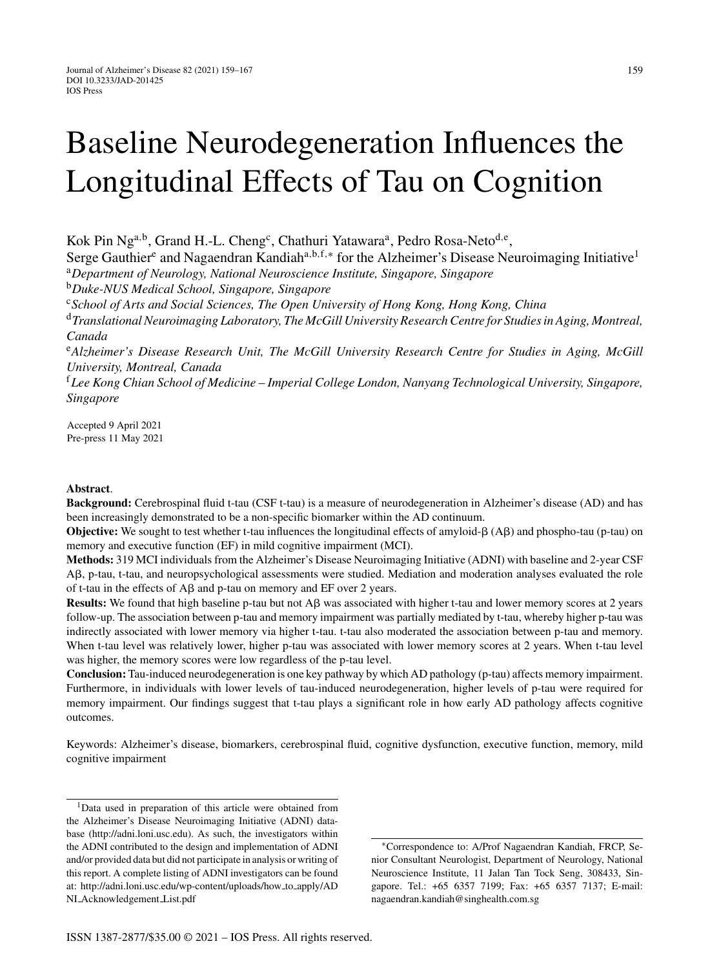# Baseline Neurodegeneration Influences the Longitudinal Effects of Tau on Cognition

Kok Pin Ng<sup>a,b</sup>, Grand H.-L. Cheng<sup>c</sup>, Chathuri Yatawara<sup>a</sup>, Pedro Rosa-Neto<sup>d,e</sup>,

Serge Gauthier<sup>e</sup> and Nagaendran Kandiah<sup>a,b,f,\*</sup> for the Alzheimer's Disease Neuroimaging Initiative<sup>1</sup> <sup>a</sup>*Department of Neurology, National Neuroscience Institute, Singapore, Singapore*

<sup>b</sup>*Duke-NUS Medical School, Singapore, Singapore*

<sup>c</sup>*School of Arts and Social Sciences, The Open University of Hong Kong, Hong Kong, China*

<sup>d</sup>*Translational Neuroimaging Laboratory, The McGill University Research Centre for Studies in Aging, Montreal, Canada*

<sup>e</sup>*Alzheimer's Disease Research Unit, The McGill University Research Centre for Studies in Aging, McGill University, Montreal, Canada*

<sup>f</sup>*Lee Kong Chian School of Medicine – Imperial College London, Nanyang Technological University, Singapore, Singapore*

Accepted 9 April 2021 Pre-press 11 May 2021

# **Abstract**.

**Background:** Cerebrospinal fluid t-tau (CSF t-tau) is a measure of neurodegeneration in Alzheimer's disease (AD) and has been increasingly demonstrated to be a non-specific biomarker within the AD continuum.

**Objective:** We sought to test whether t-tau influences the longitudinal effects of amyloid- $\beta$  (A $\beta$ ) and phospho-tau (p-tau) on memory and executive function (EF) in mild cognitive impairment (MCI).

**Methods:** 319 MCI individuals from the Alzheimer's Disease Neuroimaging Initiative (ADNI) with baseline and 2-year CSF Aß, p-tau, t-tau, and neuropsychological assessments were studied. Mediation and moderation analyses evaluated the role of t-tau in the effects of  $\text{A}\beta$  and p-tau on memory and EF over 2 years.

**Results:** We found that high baseline p-tau but not  $\mathbf{A}\beta$  was associated with higher t-tau and lower memory scores at 2 years follow-up. The association between p-tau and memory impairment was partially mediated by t-tau, whereby higher p-tau was indirectly associated with lower memory via higher t-tau. t-tau also moderated the association between p-tau and memory. When t-tau level was relatively lower, higher p-tau was associated with lower memory scores at 2 years. When t-tau level was higher, the memory scores were low regardless of the p-tau level.

**Conclusion:** Tau-induced neurodegeneration is one key pathway by which AD pathology (p-tau) affects memory impairment. Furthermore, in individuals with lower levels of tau-induced neurodegeneration, higher levels of p-tau were required for memory impairment. Our findings suggest that t-tau plays a significant role in how early AD pathology affects cognitive outcomes.

Keywords: Alzheimer's disease, biomarkers, cerebrospinal fluid, cognitive dysfunction, executive function, memory, mild cognitive impairment

<sup>1</sup>Data used in preparation of this article were obtained from the Alzheimer's Disease Neuroimaging Initiative (ADNI) database (<http://adni.loni.usc.edu>). As such, the investigators within the ADNI contributed to the design and implementation of ADNI and/or provided data but did not participate in analysis or writing of this report. A complete listing of ADNI investigators can be found at: [http://adni.loni.usc.edu/wp-content/uploads/how](http://adni.loni.usc.edu/wp-content/uploads/how_to_apply/ADNI_Acknowledgement_List.pdf) to apply/AD NI Acknowledgement List.pdf

∗Correspondence to: A/Prof Nagaendran Kandiah, FRCP, Senior Consultant Neurologist, Department of Neurology, National Neuroscience Institute, 11 Jalan Tan Tock Seng, 308433, Singapore. Tel.: +65 6357 7199; Fax: +65 6357 7137; E-mail: [nagaendran.kandiah@singhealth.com.sg](mailto:nagaendran.kandiah@singhealth.com.sg)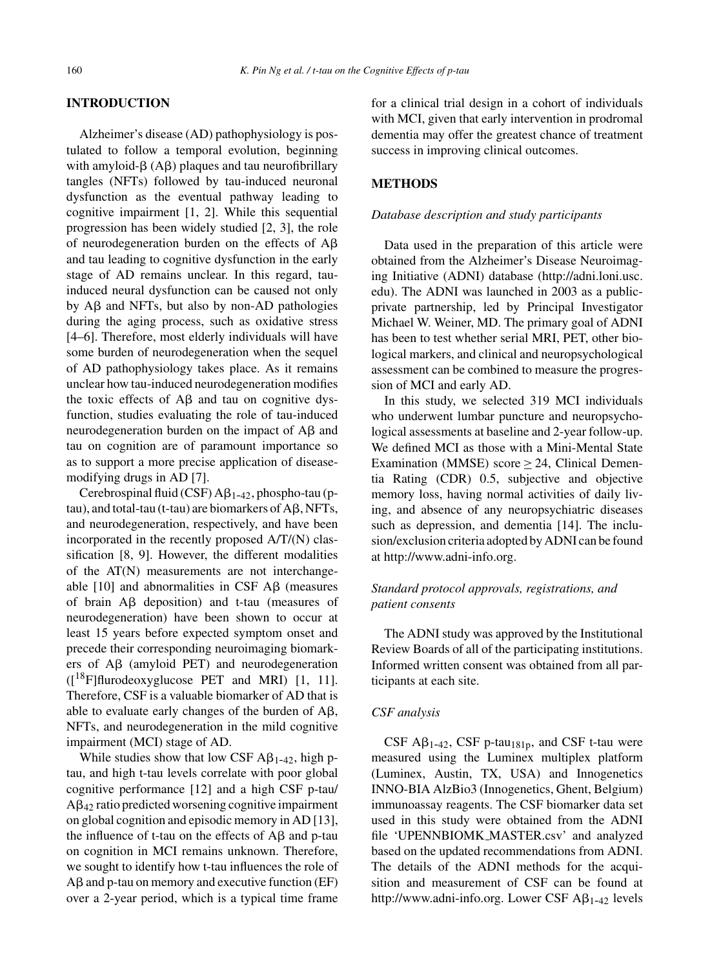## **INTRODUCTION**

Alzheimer's disease (AD) pathophysiology is postulated to follow a temporal evolution, beginning with amyloid- $\beta$  (A $\beta$ ) plaques and tau neurofibrillary tangles (NFTs) followed by tau-induced neuronal dysfunction as the eventual pathway leading to cognitive impairment [1, 2]. While this sequential progression has been widely studied [2, 3], the role of neurodegeneration burden on the effects of  $A\beta$ and tau leading to cognitive dysfunction in the early stage of AD remains unclear. In this regard, tauinduced neural dysfunction can be caused not only by Aβ and NFTs, but also by non-AD pathologies during the aging process, such as oxidative stress [4–6]. Therefore, most elderly individuals will have some burden of neurodegeneration when the sequel of AD pathophysiology takes place. As it remains unclear how tau-induced neurodegeneration modifies the toxic effects of  $\text{A}\beta$  and tau on cognitive dysfunction, studies evaluating the role of tau-induced neurodegeneration burden on the impact of  $A\beta$  and tau on cognition are of paramount importance so as to support a more precise application of diseasemodifying drugs in AD [7].

Cerebrospinal fluid (CSF)  $A\beta_{1-42}$ , phospho-tau (p $tau$ ), and total-tau (t-tau) are biomarkers of  $A\beta$ , NFTs, and neurodegeneration, respectively, and have been incorporated in the recently proposed A/T/(N) classification [8, 9]. However, the different modalities of the AT(N) measurements are not interchangeable  $[10]$  and abnormalities in CSF A $\beta$  (measures of brain  $\overrightarrow{AB}$  deposition) and t-tau (measures of neurodegeneration) have been shown to occur at least 15 years before expected symptom onset and precede their corresponding neuroimaging biomarkers of  $\overrightarrow{AB}$  (amyloid PET) and neurodegeneration  $(I^{18}F]$ flurodeoxyglucose PET and MRI) [1, 11]. Therefore, CSF is a valuable biomarker of AD that is able to evaluate early changes of the burden of  $A\beta$ , NFTs, and neurodegeneration in the mild cognitive impairment (MCI) stage of AD.

While studies show that low CSF  $\mathsf{A}\beta_{1-42}$ , high ptau, and high t-tau levels correlate with poor global cognitive performance [12] and a high CSF p-tau/  $A\beta_{42}$  ratio predicted worsening cognitive impairment on global cognition and episodic memory in AD [13], the influence of t-tau on the effects of  $\text{A}\beta$  and p-tau on cognition in MCI remains unknown. Therefore, we sought to identify how t-tau influences the role of  $\text{A}\beta$  and p-tau on memory and executive function (EF) over a 2-year period, which is a typical time frame for a clinical trial design in a cohort of individuals with MCI, given that early intervention in prodromal dementia may offer the greatest chance of treatment success in improving clinical outcomes.

# **METHODS**

### *Database description and study participants*

Data used in the preparation of this article were obtained from the Alzheimer's Disease Neuroimaging Initiative (ADNI) database ([http://adni.loni.usc.](http://adni.loni.usc.edu) edu). The ADNI was launched in 2003 as a publicprivate partnership, led by Principal Investigator Michael W. Weiner, MD. The primary goal of ADNI has been to test whether serial MRI, PET, other biological markers, and clinical and neuropsychological assessment can be combined to measure the progression of MCI and early AD.

In this study, we selected 319 MCI individuals who underwent lumbar puncture and neuropsychological assessments at baseline and 2-year follow-up. We defined MCI as those with a Mini-Mental State Examination (MMSE) score  $\geq$  24, Clinical Dementia Rating (CDR) 0.5, subjective and objective memory loss, having normal activities of daily living, and absence of any neuropsychiatric diseases such as depression, and dementia [14]. The inclusion/exclusion criteria adopted by ADNI can be found at [http://www.adni-info.org.](http://www.adni-info.org)

# *Standard protocol approvals, registrations, and patient consents*

The ADNI study was approved by the Institutional Review Boards of all of the participating institutions. Informed written consent was obtained from all participants at each site.

#### *CSF analysis*

 $CSF$  A $\beta_{1-42}$ , CSF p-tau<sub>181p</sub>, and CSF t-tau were measured using the Luminex multiplex platform (Luminex, Austin, TX, USA) and Innogenetics INNO-BIA AlzBio3 (Innogenetics, Ghent, Belgium) immunoassay reagents. The CSF biomarker data set used in this study were obtained from the ADNI file 'UPENNBIOMK MASTER.csv' and analyzed based on the updated recommendations from ADNI. The details of the ADNI methods for the acquisition and measurement of CSF can be found at <http://www.adni-info.org>. Lower CSF  $\mathsf{A}\beta_{1-42}$  levels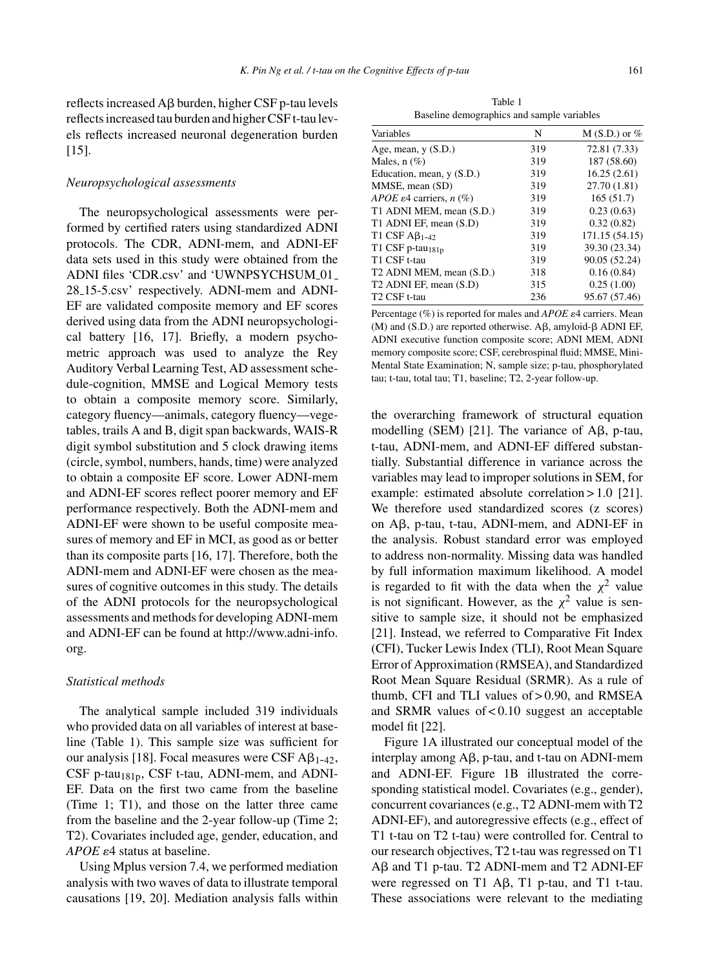reflects increased A $\beta$  burden, higher CSF p-tau levels reflects increased tau burden and higher CSF t-tau levels reflects increased neuronal degeneration burden [15].

#### *Neuropsychological assessments*

The neuropsychological assessments were performed by certified raters using standardized ADNI protocols. The CDR, ADNI-mem, and ADNI-EF data sets used in this study were obtained from the ADNI files 'CDR.csv' and 'UWNPSYCHSUM\_01\_ 28 15-5.csv' respectively. ADNI-mem and ADNI-EF are validated composite memory and EF scores derived using data from the ADNI neuropsychological battery [16, 17]. Briefly, a modern psychometric approach was used to analyze the Rey Auditory Verbal Learning Test, AD assessment schedule-cognition, MMSE and Logical Memory tests to obtain a composite memory score. Similarly, category fluency—animals, category fluency—vegetables, trails A and B, digit span backwards, WAIS-R digit symbol substitution and 5 clock drawing items (circle, symbol, numbers, hands, time) were analyzed to obtain a composite EF score. Lower ADNI-mem and ADNI-EF scores reflect poorer memory and EF performance respectively. Both the ADNI-mem and ADNI-EF were shown to be useful composite measures of memory and EF in MCI, as good as or better than its composite parts [16, 17]. Therefore, both the ADNI-mem and ADNI-EF were chosen as the measures of cognitive outcomes in this study. The details of the ADNI protocols for the neuropsychological assessments and methods for developing ADNI-mem and ADNI-EF can be found at [http://www.adni-info.](http://www.adni-info.org) org.

#### *Statistical methods*

The analytical sample included 319 individuals who provided data on all variables of interest at baseline (Table 1). This sample size was sufficient for our analysis [18]. Focal measures were CSF  $\mathsf{AB}_{1-42}$ , CSF p-tau<sub>181p</sub>, CSF t-tau, ADNI-mem, and ADNI-EF. Data on the first two came from the baseline (Time 1; T1), and those on the latter three came from the baseline and the 2-year follow-up (Time 2; T2). Covariates included age, gender, education, and *APOE*  $\varepsilon$ 4 status at baseline.

Using Mplus version 7.4, we performed mediation analysis with two waves of data to illustrate temporal causations [19, 20]. Mediation analysis falls within

Table 1 Baseline demographics and sample variables

| Variables                                | N   | $M(S.D.)$ or $%$ |
|------------------------------------------|-----|------------------|
| Age, mean, $y(S.D.)$                     | 319 | 72.81 (7.33)     |
| Males, $n$ (%)                           | 319 | 187 (58.60)      |
| Education, mean, $y(S.D.)$               | 319 | 16.25(2.61)      |
| MMSE, mean (SD)                          | 319 | 27.70 (1.81)     |
| APOE $\varepsilon$ 4 carriers, n $(\%)$  | 319 | 165(51.7)        |
| T1 ADNI MEM, mean (S.D.)                 | 319 | 0.23(0.63)       |
| T1 ADNI EF, mean (S.D)                   | 319 | 0.32(0.82)       |
| T1 CSF $\mathbf{A}\mathbf{\beta}_{1-42}$ | 319 | 171.15 (54.15)   |
| T1 CSF p-tau <sub>181p</sub>             | 319 | 39.30 (23.34)    |
| T1 CSF t-tau                             | 319 | 90.05 (52.24)    |
| T2 ADNI MEM, mean (S.D.)                 | 318 | 0.16(0.84)       |
| T <sub>2</sub> ADNI EF, mean (S.D)       | 315 | 0.25(1.00)       |
| T <sub>2</sub> CSF t-tau                 | 236 | 95.67 (57.46)    |
|                                          |     |                  |

Percentage (%) is reported for males and *APOE*  $\varepsilon$ 4 carriers. Mean (M) and (S.D.) are reported otherwise.  $A\beta$ , amyloid- $\beta$  ADNI EF, ADNI executive function composite score; ADNI MEM, ADNI memory composite score; CSF, cerebrospinal fluid; MMSE, Mini-Mental State Examination; N, sample size; p-tau, phosphorylated tau; t-tau, total tau; T1, baseline; T2, 2-year follow-up.

the overarching framework of structural equation modelling (SEM) [21]. The variance of  $A\beta$ , p-tau, t-tau, ADNI-mem, and ADNI-EF differed substantially. Substantial difference in variance across the variables may lead to improper solutions in SEM, for example: estimated absolute correlation > 1.0 [21]. We therefore used standardized scores (z scores) on A $\beta$ , p-tau, t-tau, ADNI-mem, and ADNI-EF in the analysis. Robust standard error was employed to address non-normality. Missing data was handled by full information maximum likelihood. A model is regarded to fit with the data when the  $\chi^2$  value is not significant. However, as the  $\chi^2$  value is sensitive to sample size, it should not be emphasized [21]. Instead, we referred to Comparative Fit Index (CFI), Tucker Lewis Index (TLI), Root Mean Square Error of Approximation (RMSEA), and Standardized Root Mean Square Residual (SRMR). As a rule of thumb, CFI and TLI values of > 0.90, and RMSEA and SRMR values of < 0.10 suggest an acceptable model fit [22].

Figure 1A illustrated our conceptual model of the interplay among  $A\beta$ , p-tau, and t-tau on ADNI-mem and ADNI-EF. Figure 1B illustrated the corresponding statistical model. Covariates (e.g., gender), concurrent covariances (e.g., T2 ADNI-mem with T2 ADNI-EF), and autoregressive effects (e.g., effect of T1 t-tau on T2 t-tau) were controlled for. Central to our research objectives, T2 t-tau was regressed on T1 Aβ and T1 p-tau. T2 ADNI-mem and T2 ADNI-EF were regressed on T1 A $\beta$ , T1 p-tau, and T1 t-tau. These associations were relevant to the mediating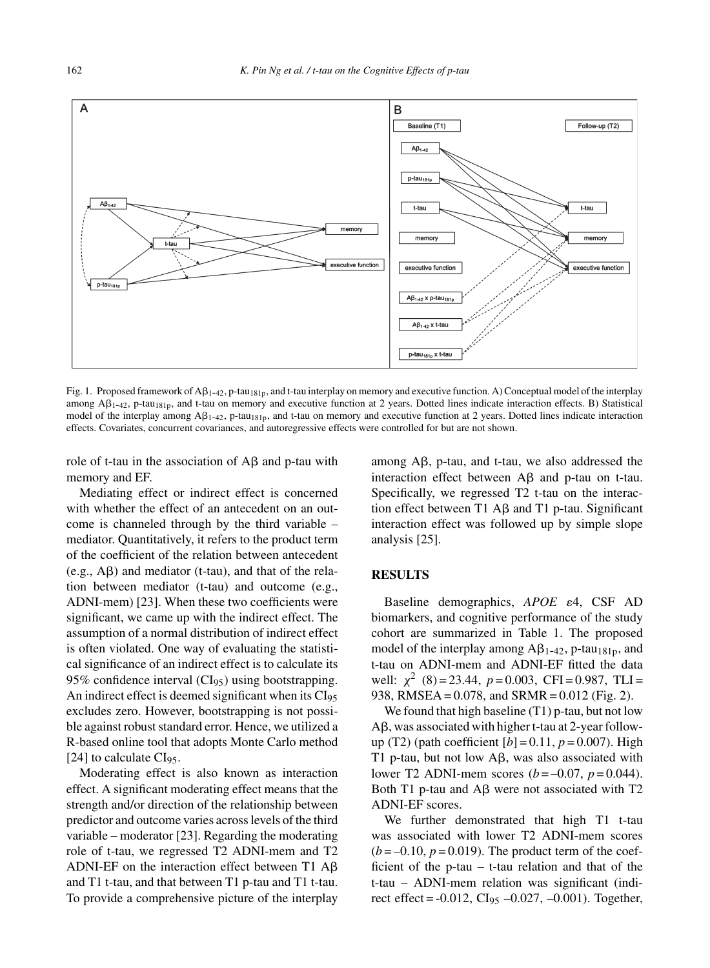

Fig. 1. Proposed framework of A $\beta_{1-42}$ , p-tau<sub>181p</sub>, and t-tau interplay on memory and executive function. A) Conceptual model of the interplay among  $\mathsf{AB}_{1-42}$ , p-tau<sub>181p</sub>, and t-tau on memory and executive function at 2 years. Dotted lines indicate interaction effects. B) Statistical model of the interplay among  $\mathbf{A}\beta_{1-42}$ , p-tau<sub>181p</sub>, and t-tau on memory and executive function at 2 years. Dotted lines indicate interaction effects. Covariates, concurrent covariances, and autoregressive effects were controlled for but are not shown.

role of t-tau in the association of  $A\beta$  and p-tau with memory and EF.

Mediating effect or indirect effect is concerned with whether the effect of an antecedent on an outcome is channeled through by the third variable – mediator. Quantitatively, it refers to the product term of the coefficient of the relation between antecedent  $(e.g., A\beta)$  and mediator (t-tau), and that of the relation between mediator (t-tau) and outcome (e.g., ADNI-mem) [23]. When these two coefficients were significant, we came up with the indirect effect. The assumption of a normal distribution of indirect effect is often violated. One way of evaluating the statistical significance of an indirect effect is to calculate its  $95\%$  confidence interval (CI<sub>95</sub>) using bootstrapping. An indirect effect is deemed significant when its CI<sub>95</sub> excludes zero. However, bootstrapping is not possible against robust standard error. Hence, we utilized a R-based online tool that adopts Monte Carlo method [24] to calculate  $CI<sub>95</sub>$ .

Moderating effect is also known as interaction effect. A significant moderating effect means that the strength and/or direction of the relationship between predictor and outcome varies across levels of the third variable – moderator [23]. Regarding the moderating role of t-tau, we regressed T2 ADNI-mem and T2 ADNI-EF on the interaction effect between T1  $A\beta$ and T1 t-tau, and that between T1 p-tau and T1 t-tau. To provide a comprehensive picture of the interplay among  $A\beta$ , p-tau, and t-tau, we also addressed the interaction effect between  $\mathsf{A}\beta$  and p-tau on t-tau. Specifically, we regressed T2 t-tau on the interaction effect between  $T1$  A $\beta$  and T1 p-tau. Significant interaction effect was followed up by simple slope analysis [25].

# **RESULTS**

Baseline demographics, *APOE*  $\varepsilon$ 4, CSF AD biomarkers, and cognitive performance of the study cohort are summarized in Table 1. The proposed model of the interplay among  $A\beta_{1-42}$ , p-tau<sub>181p</sub>, and t-tau on ADNI-mem and ADNI-EF fitted the data well:  $\chi^2$  (8) = 23.44,  $p = 0.003$ , CFI = 0.987, TLI = 938, RMSEA = 0.078, and SRMR = 0.012 (Fig. 2).

We found that high baseline (T1) p-tau, but not low  $A\beta$ , was associated with higher t-tau at 2-year followup (T2) (path coefficient  $[b] = 0.11$ ,  $p = 0.007$ ). High T1 p-tau, but not low  $A\beta$ , was also associated with lower T2 ADNI-mem scores (*b* = –0.07, *p* = 0.044). Both T1 p-tau and  $\text{A}\beta$  were not associated with T2 ADNI-EF scores.

We further demonstrated that high T1 t-tau was associated with lower T2 ADNI-mem scores  $(b = -0.10, p = 0.019)$ . The product term of the coefficient of the p-tau – t-tau relation and that of the t-tau – ADNI-mem relation was significant (indirect effect =  $-0.012$ , CI<sub>95</sub>  $-0.027$ ,  $-0.001$ ). Together,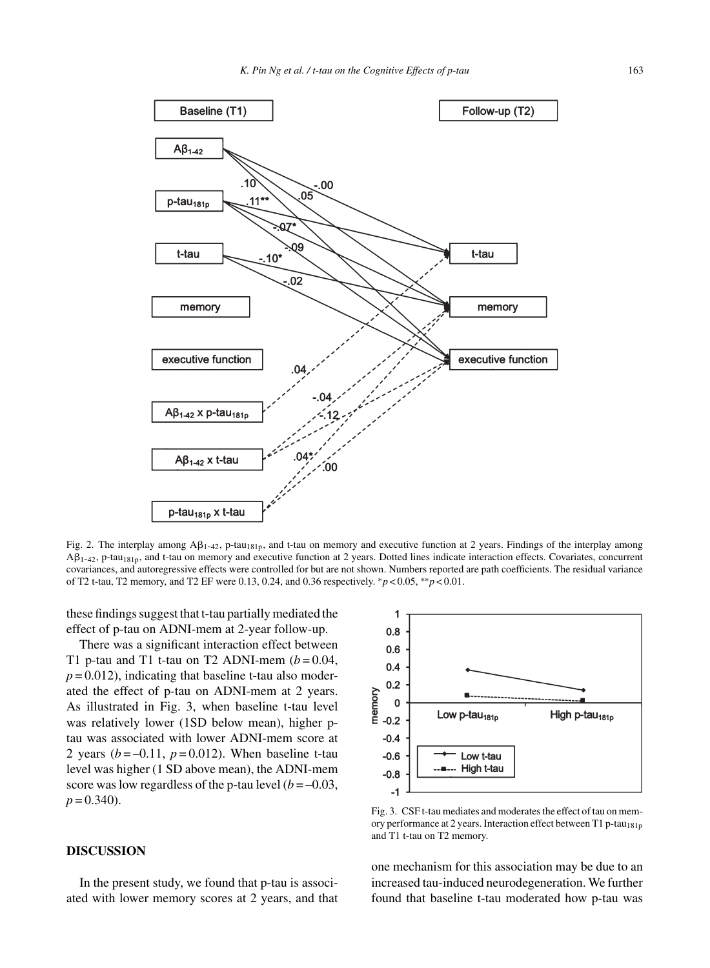

Fig. 2. The interplay among  $AP_{1-42}$ , p-tau<sub>181p</sub>, and t-tau on memory and executive function at 2 years. Findings of the interplay among  $A\beta_{1-42}$ , p-tau<sub>181p</sub>, and t-tau on memory and executive function at 2 years. Dotted lines indicate interaction effects. Covariates, concurrent covariances, and autoregressive effects were controlled for but are not shown. Numbers reported are path coefficients. The residual variance of T2 t-tau, T2 memory, and T2 EF were 0.13, 0.24, and 0.36 respectively. ∗*p* < 0.05, ∗∗*p* < 0.01.

these findings suggest that t-tau partially mediated the effect of p-tau on ADNI-mem at 2-year follow-up.

There was a significant interaction effect between T1 p-tau and T1 t-tau on T2 ADNI-mem  $(b=0.04,$  $p = 0.012$ ), indicating that baseline t-tau also moderated the effect of p-tau on ADNI-mem at 2 years. As illustrated in Fig. 3, when baseline t-tau level was relatively lower (1SD below mean), higher ptau was associated with lower ADNI-mem score at 2 years  $(b = -0.11, p = 0.012)$ . When baseline t-tau level was higher (1 SD above mean), the ADNI-mem score was low regardless of the p-tau level  $(b = -0.03,$  $p = 0.340$ .

#### **DISCUSSION**

In the present study, we found that p-tau is associated with lower memory scores at 2 years, and that



Fig. 3. CSF t-tau mediates and moderates the effect of tau on memory performance at 2 years. Interaction effect between T1 p-tau<sub>181p</sub> and T1 t-tau on T2 memory.

one mechanism for this association may be due to an increased tau-induced neurodegeneration. We further found that baseline t-tau moderated how p-tau was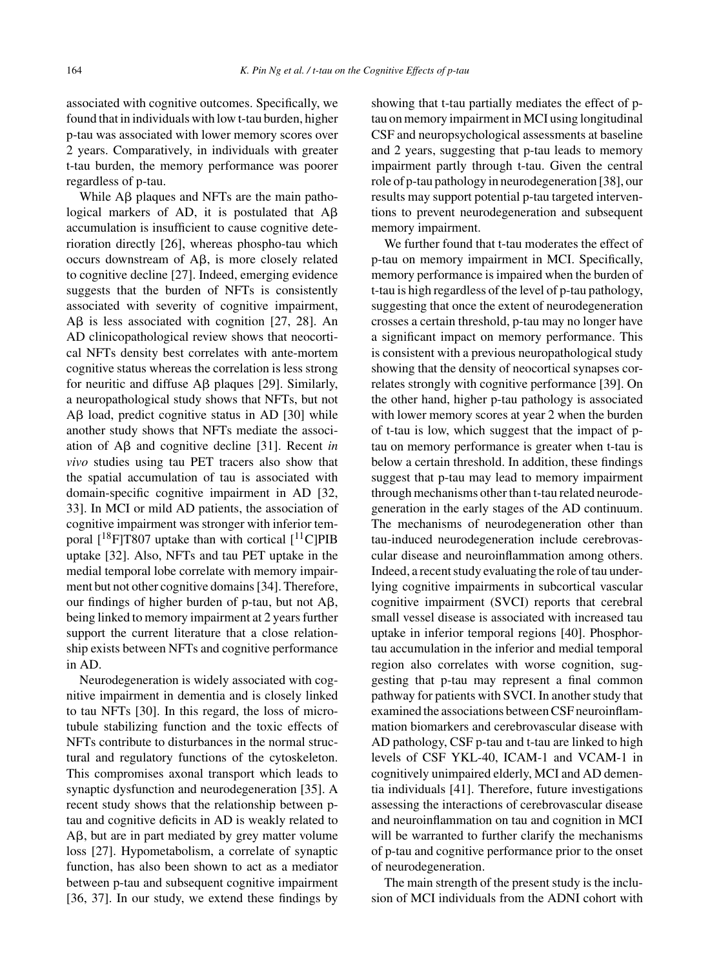associated with cognitive outcomes. Specifically, we found that in individuals with low t-tau burden, higher p-tau was associated with lower memory scores over 2 years. Comparatively, in individuals with greater t-tau burden, the memory performance was poorer regardless of p-tau.

While  $\text{AB}$  plaques and NFTs are the main pathological markers of AD, it is postulated that  $A\beta$ accumulation is insufficient to cause cognitive deterioration directly [26], whereas phospho-tau which  $occurs$  downstream of  $A\beta$ , is more closely related to cognitive decline [27]. Indeed, emerging evidence suggests that the burden of NFTs is consistently associated with severity of cognitive impairment,  $\text{A}\beta$  is less associated with cognition [27, 28]. An AD clinicopathological review shows that neocortical NFTs density best correlates with ante-mortem cognitive status whereas the correlation is less strong for neuritic and diffuse  $A\beta$  plaques [29]. Similarly, a neuropathological study shows that NFTs, but not  $A\beta$  load, predict cognitive status in AD [30] while another study shows that NFTs mediate the association of  $\text{A}\beta$  and cognitive decline [31]. Recent *in vivo* studies using tau PET tracers also show that the spatial accumulation of tau is associated with domain-specific cognitive impairment in AD [32, 33]. In MCI or mild AD patients, the association of cognitive impairment was stronger with inferior temporal  $[{}^{18}F]T807$  uptake than with cortical  $[{}^{11}C]PIB$ uptake [32]. Also, NFTs and tau PET uptake in the medial temporal lobe correlate with memory impairment but not other cognitive domains [34]. Therefore, our findings of higher burden of p-tau, but not  $A\beta$ , being linked to memory impairment at 2 years further support the current literature that a close relationship exists between NFTs and cognitive performance in AD.

Neurodegeneration is widely associated with cognitive impairment in dementia and is closely linked to tau NFTs [30]. In this regard, the loss of microtubule stabilizing function and the toxic effects of NFTs contribute to disturbances in the normal structural and regulatory functions of the cytoskeleton. This compromises axonal transport which leads to synaptic dysfunction and neurodegeneration [35]. A recent study shows that the relationship between ptau and cognitive deficits in AD is weakly related to  $A\beta$ , but are in part mediated by grey matter volume loss [27]. Hypometabolism, a correlate of synaptic function, has also been shown to act as a mediator between p-tau and subsequent cognitive impairment [36, 37]. In our study, we extend these findings by showing that t-tau partially mediates the effect of ptau on memory impairment in MCI using longitudinal CSF and neuropsychological assessments at baseline and 2 years, suggesting that p-tau leads to memory impairment partly through t-tau. Given the central role of p-tau pathology in neurodegeneration [38], our results may support potential p-tau targeted interventions to prevent neurodegeneration and subsequent memory impairment.

We further found that t-tau moderates the effect of p-tau on memory impairment in MCI. Specifically, memory performance is impaired when the burden of t-tau is high regardless of the level of p-tau pathology, suggesting that once the extent of neurodegeneration crosses a certain threshold, p-tau may no longer have a significant impact on memory performance. This is consistent with a previous neuropathological study showing that the density of neocortical synapses correlates strongly with cognitive performance [39]. On the other hand, higher p-tau pathology is associated with lower memory scores at year 2 when the burden of t-tau is low, which suggest that the impact of ptau on memory performance is greater when t-tau is below a certain threshold. In addition, these findings suggest that p-tau may lead to memory impairment through mechanisms other than t-tau related neurodegeneration in the early stages of the AD continuum. The mechanisms of neurodegeneration other than tau-induced neurodegeneration include cerebrovascular disease and neuroinflammation among others. Indeed, a recent study evaluating the role of tau underlying cognitive impairments in subcortical vascular cognitive impairment (SVCI) reports that cerebral small vessel disease is associated with increased tau uptake in inferior temporal regions [40]. Phosphortau accumulation in the inferior and medial temporal region also correlates with worse cognition, suggesting that p-tau may represent a final common pathway for patients with SVCI. In another study that examined the associations between CSF neuroinflammation biomarkers and cerebrovascular disease with AD pathology, CSF p-tau and t-tau are linked to high levels of CSF YKL-40, ICAM-1 and VCAM-1 in cognitively unimpaired elderly, MCI and AD dementia individuals [41]. Therefore, future investigations assessing the interactions of cerebrovascular disease and neuroinflammation on tau and cognition in MCI will be warranted to further clarify the mechanisms of p-tau and cognitive performance prior to the onset of neurodegeneration.

The main strength of the present study is the inclusion of MCI individuals from the ADNI cohort with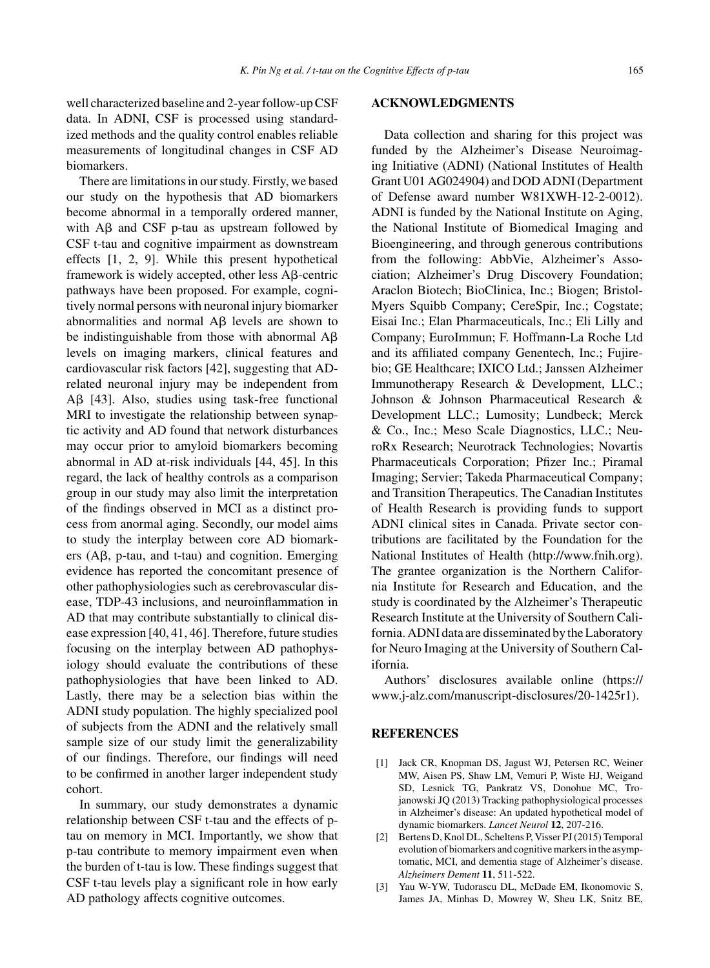well characterized baseline and 2-year follow-up CSF data. In ADNI, CSF is processed using standardized methods and the quality control enables reliable measurements of longitudinal changes in CSF AD biomarkers.

There are limitations in our study. Firstly, we based our study on the hypothesis that AD biomarkers become abnormal in a temporally ordered manner, with  $\overrightarrow{AB}$  and CSF p-tau as upstream followed by CSF t-tau and cognitive impairment as downstream effects [1, 2, 9]. While this present hypothetical framework is widely accepted, other less  $\mathsf{A}\beta$ -centric pathways have been proposed. For example, cognitively normal persons with neuronal injury biomarker abnormalities and normal  $\overrightarrow{AB}$  levels are shown to be indistinguishable from those with abnormal  $A\beta$ levels on imaging markers, clinical features and cardiovascular risk factors [42], suggesting that ADrelated neuronal injury may be independent from A $\beta$  [43]. Also, studies using task-free functional MRI to investigate the relationship between synaptic activity and AD found that network disturbances may occur prior to amyloid biomarkers becoming abnormal in AD at-risk individuals [44, 45]. In this regard, the lack of healthy controls as a comparison group in our study may also limit the interpretation of the findings observed in MCI as a distinct process from anormal aging. Secondly, our model aims to study the interplay between core AD biomarkers  $(A\beta, p$ -tau, and t-tau) and cognition. Emerging evidence has reported the concomitant presence of other pathophysiologies such as cerebrovascular disease, TDP-43 inclusions, and neuroinflammation in AD that may contribute substantially to clinical disease expression [40, 41, 46]. Therefore, future studies focusing on the interplay between AD pathophysiology should evaluate the contributions of these pathophysiologies that have been linked to AD. Lastly, there may be a selection bias within the ADNI study population. The highly specialized pool of subjects from the ADNI and the relatively small sample size of our study limit the generalizability of our findings. Therefore, our findings will need to be confirmed in another larger independent study cohort.

In summary, our study demonstrates a dynamic relationship between CSF t-tau and the effects of ptau on memory in MCI. Importantly, we show that p-tau contribute to memory impairment even when the burden of t-tau is low. These findings suggest that CSF t-tau levels play a significant role in how early AD pathology affects cognitive outcomes.

#### **ACKNOWLEDGMENTS**

Data collection and sharing for this project was funded by the Alzheimer's Disease Neuroimaging Initiative (ADNI) (National Institutes of Health Grant U01 AG024904) and DOD ADNI (Department of Defense award number W81XWH-12-2-0012). ADNI is funded by the National Institute on Aging, the National Institute of Biomedical Imaging and Bioengineering, and through generous contributions from the following: AbbVie, Alzheimer's Association; Alzheimer's Drug Discovery Foundation; Araclon Biotech; BioClinica, Inc.; Biogen; Bristol-Myers Squibb Company; CereSpir, Inc.; Cogstate; Eisai Inc.; Elan Pharmaceuticals, Inc.; Eli Lilly and Company; EuroImmun; F. Hoffmann-La Roche Ltd and its affiliated company Genentech, Inc.; Fujirebio; GE Healthcare; IXICO Ltd.; Janssen Alzheimer Immunotherapy Research & Development, LLC.; Johnson & Johnson Pharmaceutical Research & Development LLC.; Lumosity; Lundbeck; Merck & Co., Inc.; Meso Scale Diagnostics, LLC.; NeuroRx Research; Neurotrack Technologies; Novartis Pharmaceuticals Corporation; Pfizer Inc.; Piramal Imaging; Servier; Takeda Pharmaceutical Company; and Transition Therapeutics. The Canadian Institutes of Health Research is providing funds to support ADNI clinical sites in Canada. Private sector contributions are facilitated by the Foundation for the National Institutes of Health [\(http://www.fnih.org](http://www.fnih.org)). The grantee organization is the Northern California Institute for Research and Education, and the study is coordinated by the Alzheimer's Therapeutic Research Institute at the University of Southern California. ADNI data are disseminated by the Laboratory for Neuro Imaging at the University of Southern California.

Authors' disclosures available online [\(https://](https://www.j-alz.com/manuscript-disclosures/20-1425r1) www.j-alz.com/manuscript-disclosures/20-1425r1).

# **REFERENCES**

- [1] Jack CR, Knopman DS, Jagust WJ, Petersen RC, Weiner MW, Aisen PS, Shaw LM, Vemuri P, Wiste HJ, Weigand SD, Lesnick TG, Pankratz VS, Donohue MC, Trojanowski JQ (2013) Tracking pathophysiological processes in Alzheimer's disease: An updated hypothetical model of dynamic biomarkers. *Lancet Neurol* **12**, 207-216.
- [2] Bertens D, Knol DL, Scheltens P, Visser PJ (2015) Temporal evolution of biomarkers and cognitive markers in the asymptomatic, MCI, and dementia stage of Alzheimer's disease. *Alzheimers Dement* **11**, 511-522.
- [3] Yau W-YW, Tudorascu DL, McDade EM, Ikonomovic S, James JA, Minhas D, Mowrey W, Sheu LK, Snitz BE,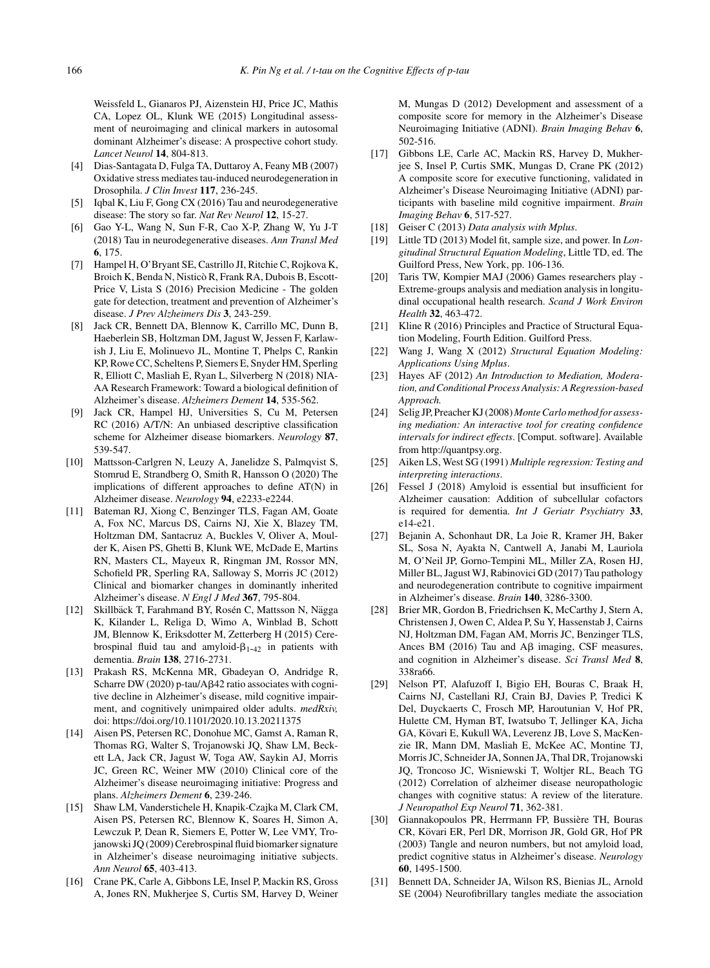Weissfeld L, Gianaros PJ, Aizenstein HJ, Price JC, Mathis CA, Lopez OL, Klunk WE (2015) Longitudinal assessment of neuroimaging and clinical markers in autosomal dominant Alzheimer's disease: A prospective cohort study. *Lancet Neurol* **14**, 804-813.

- [4] Dias-Santagata D, Fulga TA, Duttaroy A, Feany MB (2007) Oxidative stress mediates tau-induced neurodegeneration in Drosophila. *J Clin Invest* **117**, 236-245.
- [5] Iqbal K, Liu F, Gong CX (2016) Tau and neurodegenerative disease: The story so far. *Nat Rev Neurol* **12**, 15-27.
- [6] Gao Y-L, Wang N, Sun F-R, Cao X-P, Zhang W, Yu J-T (2018) Tau in neurodegenerative diseases. *Ann Transl Med* **6**, 175.
- [7] Hampel H, O'Bryant SE, Castrillo JI, Ritchie C, Rojkova K, Broich K, Benda N, Nisticò R, Frank RA, Dubois B, Escott-Price V, Lista S (2016) Precision Medicine - The golden gate for detection, treatment and prevention of Alzheimer's disease. *J Prev Alzheimers Dis* **3**, 243-259.
- [8] Jack CR, Bennett DA, Blennow K, Carrillo MC, Dunn B, Haeberlein SB, Holtzman DM, Jagust W, Jessen F, Karlawish J, Liu E, Molinuevo JL, Montine T, Phelps C, Rankin KP, Rowe CC, Scheltens P, Siemers E, Snyder HM, Sperling R, Elliott C, Masliah E, Ryan L, Silverberg N (2018) NIA-AA Research Framework: Toward a biological definition of Alzheimer's disease. *Alzheimers Dement* **14**, 535-562.
- [9] Jack CR, Hampel HJ, Universities S, Cu M, Petersen RC (2016) A/T/N: An unbiased descriptive classification scheme for Alzheimer disease biomarkers. *Neurology* **87**, 539-547.
- [10] Mattsson-Carlgren N, Leuzy A, Janelidze S, Palmqvist S, Stomrud E, Strandberg O, Smith R, Hansson O (2020) The implications of different approaches to define AT(N) in Alzheimer disease. *Neurology* **94**, e2233-e2244.
- [11] Bateman RJ, Xiong C, Benzinger TLS, Fagan AM, Goate A, Fox NC, Marcus DS, Cairns NJ, Xie X, Blazey TM, Holtzman DM, Santacruz A, Buckles V, Oliver A, Moulder K, Aisen PS, Ghetti B, Klunk WE, McDade E, Martins RN, Masters CL, Mayeux R, Ringman JM, Rossor MN, Schofield PR, Sperling RA, Salloway S, Morris JC (2012) Clinical and biomarker changes in dominantly inherited Alzheimer's disease. *N Engl J Med* **367**, 795-804.
- [12] Skillbäck T, Farahmand BY, Rosén C, Mattsson N, Nägga K, Kilander L, Religa D, Wimo A, Winblad B, Schott JM, Blennow K, Eriksdotter M, Zetterberg H (2015) Cerebrospinal fluid tau and amyloid- $\beta_{1-42}$  in patients with dementia. *Brain* **138**, 2716-2731.
- [13] Prakash RS, McKenna MR, Gbadeyan O, Andridge R, Scharre DW (2020) p-tau/Aß42 ratio associates with cognitive decline in Alzheimer's disease, mild cognitive impairment, and cognitively unimpaired older adults. *medRxiv,* doi:<https://doi.org/10.1101/2020.10.13.20211375>
- [14] Aisen PS, Petersen RC, Donohue MC, Gamst A, Raman R, Thomas RG, Walter S, Trojanowski JQ, Shaw LM, Beckett LA, Jack CR, Jagust W, Toga AW, Saykin AJ, Morris JC, Green RC, Weiner MW (2010) Clinical core of the Alzheimer's disease neuroimaging initiative: Progress and plans. *Alzheimers Dement* **6**, 239-246.
- [15] Shaw LM, Vanderstichele H, Knapik-Czajka M, Clark CM, Aisen PS, Petersen RC, Blennow K, Soares H, Simon A, Lewczuk P, Dean R, Siemers E, Potter W, Lee VMY, Trojanowski JQ (2009) Cerebrospinal fluid biomarker signature in Alzheimer's disease neuroimaging initiative subjects. *Ann Neurol* **65**, 403-413.
- [16] Crane PK, Carle A, Gibbons LE, Insel P, Mackin RS, Gross A, Jones RN, Mukherjee S, Curtis SM, Harvey D, Weiner

M, Mungas D (2012) Development and assessment of a composite score for memory in the Alzheimer's Disease Neuroimaging Initiative (ADNI). *Brain Imaging Behav* **6**, 502-516.

- [17] Gibbons LE, Carle AC, Mackin RS, Harvey D, Mukherjee S, Insel P, Curtis SMK, Mungas D, Crane PK (2012) A composite score for executive functioning, validated in Alzheimer's Disease Neuroimaging Initiative (ADNI) participants with baseline mild cognitive impairment. *Brain Imaging Behav* **6**, 517-527.
- [18] Geiser C (2013) *Data analysis with Mplus*.
- [19] Little TD (2013) Model fit, sample size, and power. In *Longitudinal Structural Equation Modeling*, Little TD, ed. The Guilford Press, New York, pp. 106-136.
- [20] Taris TW, Kompier MAJ (2006) Games researchers play Extreme-groups analysis and mediation analysis in longitudinal occupational health research. *Scand J Work Environ Health* **32**, 463-472.
- [21] Kline R (2016) Principles and Practice of Structural Equation Modeling, Fourth Edition. Guilford Press.
- [22] Wang J, Wang X (2012) *Structural Equation Modeling: Applications Using Mplus*.
- [23] Hayes AF (2012) *An Introduction to Mediation, Moderation, and Conditional Process Analysis: A Regression-based Approach.*
- [24] Selig JP, Preacher KJ (2008) *Monte Carlo method for assessing mediation: An interactive tool for creating confidence intervals for indirect effects*. [Comput. software]. Available from<http://quantpsy.org>.
- [25] Aiken LS, West SG (1991) *Multiple regression: Testing and interpreting interactions*.
- [26] Fessel J (2018) Amyloid is essential but insufficient for Alzheimer causation: Addition of subcellular cofactors is required for dementia. *Int J Geriatr Psychiatry* **33**, e14-e21.
- [27] Bejanin A, Schonhaut DR, La Joie R, Kramer JH, Baker SL, Sosa N, Ayakta N, Cantwell A, Janabi M, Lauriola M, O'Neil JP, Gorno-Tempini ML, Miller ZA, Rosen HJ, Miller BL, Jagust WJ, Rabinovici GD (2017) Tau pathology and neurodegeneration contribute to cognitive impairment in Alzheimer's disease. *Brain* **140**, 3286-3300.
- [28] Brier MR, Gordon B, Friedrichsen K, McCarthy J, Stern A, Christensen J, Owen C, Aldea P, Su Y, Hassenstab J, Cairns NJ, Holtzman DM, Fagan AM, Morris JC, Benzinger TLS, Ances BM (2016) Tau and  $\mathsf{A}\beta$  imaging, CSF measures, and cognition in Alzheimer's disease. *Sci Transl Med* **8**, 338ra66.
- [29] Nelson PT, Alafuzoff I, Bigio EH, Bouras C, Braak H, Cairns NJ, Castellani RJ, Crain BJ, Davies P, Tredici K Del, Duyckaerts C, Frosch MP, Haroutunian V, Hof PR, Hulette CM, Hyman BT, Iwatsubo T, Jellinger KA, Jicha GA, Kövari E, Kukull WA, Leverenz JB, Love S, MacKenzie IR, Mann DM, Masliah E, McKee AC, Montine TJ, Morris JC, Schneider JA, Sonnen JA, Thal DR, Trojanowski JQ, Troncoso JC, Wisniewski T, Woltjer RL, Beach TG (2012) Correlation of alzheimer disease neuropathologic changes with cognitive status: A review of the literature. *J Neuropathol Exp Neurol* **71**, 362-381.
- [30] Giannakopoulos PR, Herrmann FP, Bussière TH, Bouras CR, Kövari ER, Perl DR, Morrison JR, Gold GR, Hof PR (2003) Tangle and neuron numbers, but not amyloid load, predict cognitive status in Alzheimer's disease. *Neurology* **60**, 1495-1500.
- [31] Bennett DA, Schneider JA, Wilson RS, Bienias JL, Arnold SE (2004) Neurofibrillary tangles mediate the association